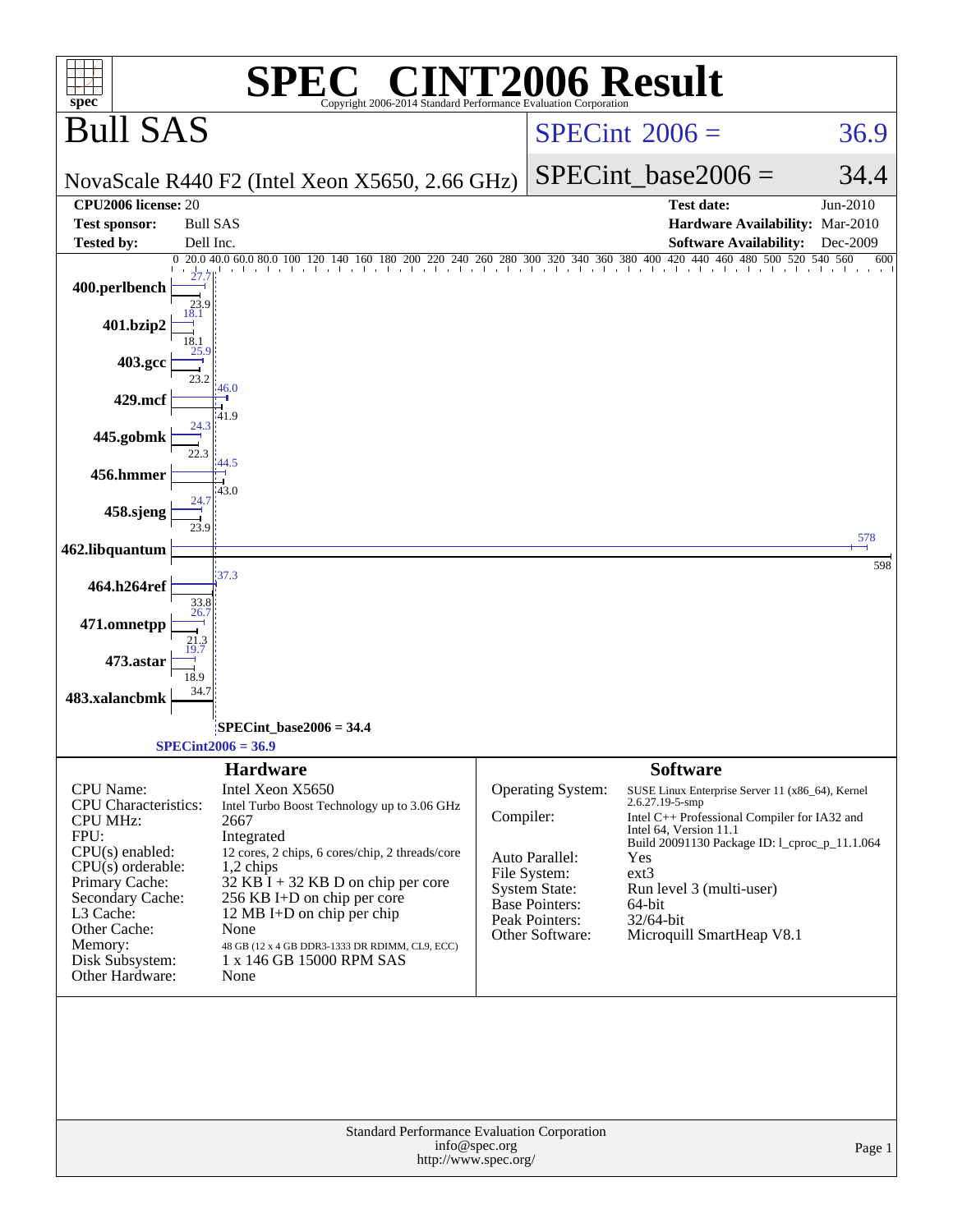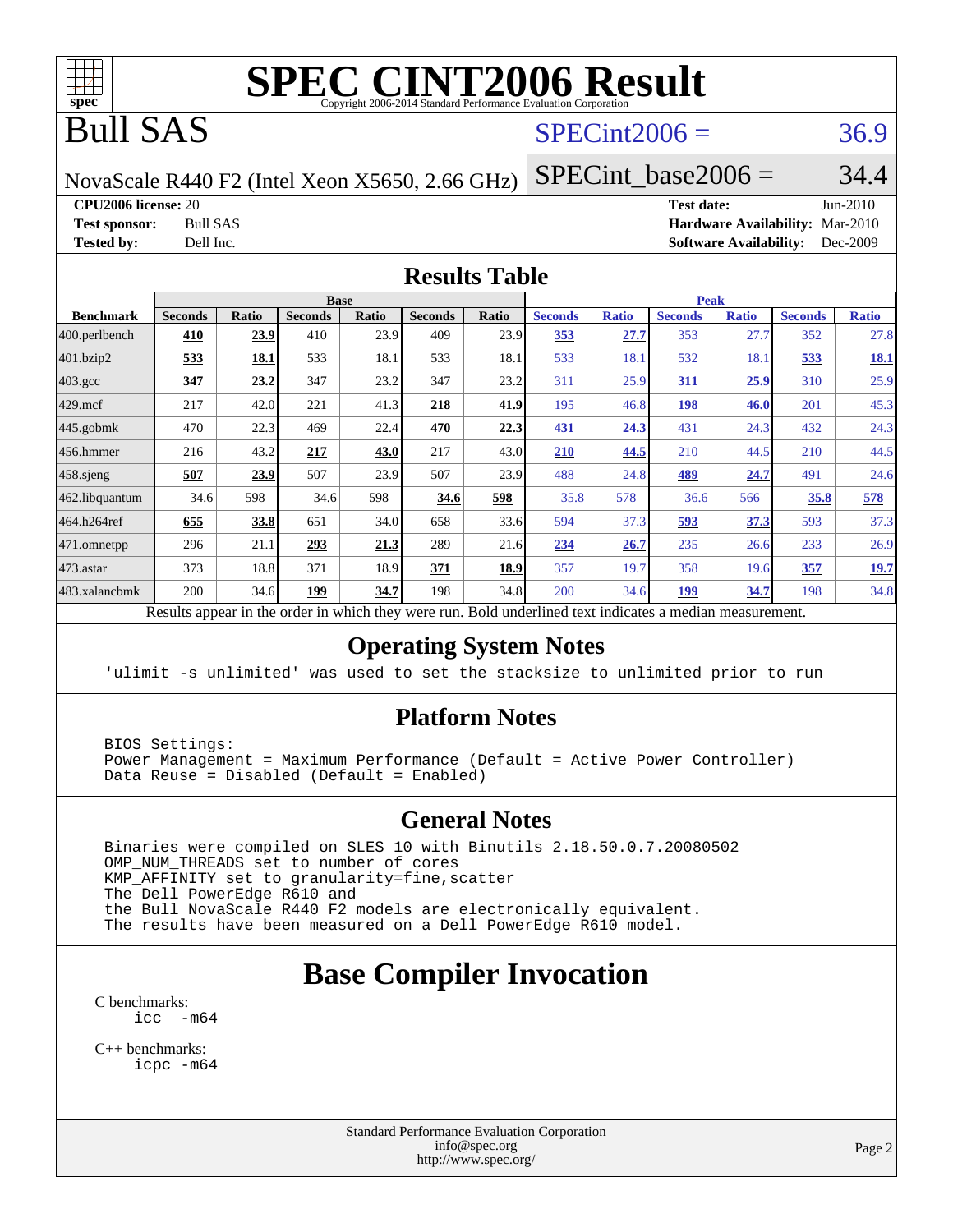

# **[SPEC CINT2006 Result](http://www.spec.org/auto/cpu2006/Docs/result-fields.html#SPECCINT2006Result)**

# Bull SAS

### $SPECint2006 = 36.9$  $SPECint2006 = 36.9$

NovaScale R440 F2 (Intel Xeon X5650, 2.66 GHz)

SPECint base2006 =  $34.4$ 

**[CPU2006 license:](http://www.spec.org/auto/cpu2006/Docs/result-fields.html#CPU2006license)** 20 **[Test date:](http://www.spec.org/auto/cpu2006/Docs/result-fields.html#Testdate)** Jun-2010

**[Test sponsor:](http://www.spec.org/auto/cpu2006/Docs/result-fields.html#Testsponsor)** Bull SAS **[Hardware Availability:](http://www.spec.org/auto/cpu2006/Docs/result-fields.html#HardwareAvailability)** Mar-2010 **[Tested by:](http://www.spec.org/auto/cpu2006/Docs/result-fields.html#Testedby)** Dell Inc. **[Software Availability:](http://www.spec.org/auto/cpu2006/Docs/result-fields.html#SoftwareAvailability)** Dec-2009

### **[Results Table](http://www.spec.org/auto/cpu2006/Docs/result-fields.html#ResultsTable)**

|                    |                |              | <b>Base</b>    |       |                |            |                |              | <b>Peak</b>    |              |                |              |
|--------------------|----------------|--------------|----------------|-------|----------------|------------|----------------|--------------|----------------|--------------|----------------|--------------|
| <b>Benchmark</b>   | <b>Seconds</b> | <b>Ratio</b> | <b>Seconds</b> | Ratio | <b>Seconds</b> | Ratio      | <b>Seconds</b> | <b>Ratio</b> | <b>Seconds</b> | <b>Ratio</b> | <b>Seconds</b> | <b>Ratio</b> |
| 400.perlbench      | 410            | 23.9         | 410            | 23.9  | 409            | 23.9       | 353            | 27.7         | 353            | 27.7         | 352            | 27.8         |
| 401.bzip2          | 533            | 18.1         | 533            | 18.1  | 533            | 18.1       | 533            | 18.1         | 532            | 18.1         | 533            | <u>18.1</u>  |
| $403.\mathrm{gcc}$ | 347            | 23.2         | 347            | 23.2  | 347            | 23.2       | 311            | 25.9         | 311            | 25.9         | 310            | 25.9         |
| $429$ .mcf         | 217            | 42.0         | 221            | 41.3  | 218            | 41.9       | 195            | 46.8         | <u>198</u>     | <b>46.0</b>  | 201            | 45.3         |
| $445$ .gobmk       | 470            | 22.3         | 469            | 22.4  | 470            | 22.3       | 431            | 24.3         | 431            | 24.3         | 432            | 24.3         |
| $456.$ hmmer       | 216            | 43.2         | 217            | 43.0  | 217            | 43.0       | 210            | 44.5         | 210            | 44.5         | 210            | 44.5         |
| $458$ .sjeng       | 507            | 23.9         | 507            | 23.9  | 507            | 23.9       | 488            | 24.8         | <u>489</u>     | 24.7         | 491            | 24.6         |
| 462.libquantum     | 34.6           | 598          | 34.6           | 598   | 34.6           | <u>598</u> | 35.8           | 578          | 36.6           | 566          | 35.8           | 578          |
| 464.h264ref        | 655            | 33.8         | 651            | 34.0  | 658            | 33.6       | 594            | 37.3         | 593            | 37.3         | 593            | 37.3         |
| 471.omnetpp        | 296            | 21.1         | 293            | 21.3  | 289            | 21.6       | 234            | 26.7         | 235            | 26.6         | 233            | 26.9         |
| 473.astar          | 373            | 18.8         | 371            | 18.9  | 371            | 18.9       | 357            | 19.7         | 358            | 19.6         | 357            | <u>19.7</u>  |
| 483.xalancbmk      | 200            | 34.6         | 199            | 34.7  | 198            | 34.8       | 200            | 34.6         | <u> 199</u>    | 34.7         | 198            | 34.8         |

Results appear in the [order in which they were run.](http://www.spec.org/auto/cpu2006/Docs/result-fields.html#RunOrder) Bold underlined text [indicates a median measurement.](http://www.spec.org/auto/cpu2006/Docs/result-fields.html#Median)

### **[Operating System Notes](http://www.spec.org/auto/cpu2006/Docs/result-fields.html#OperatingSystemNotes)**

'ulimit -s unlimited' was used to set the stacksize to unlimited prior to run

### **[Platform Notes](http://www.spec.org/auto/cpu2006/Docs/result-fields.html#PlatformNotes)**

 BIOS Settings: Power Management = Maximum Performance (Default = Active Power Controller) Data Reuse = Disabled (Default = Enabled)

### **[General Notes](http://www.spec.org/auto/cpu2006/Docs/result-fields.html#GeneralNotes)**

 Binaries were compiled on SLES 10 with Binutils 2.18.50.0.7.20080502 OMP\_NUM\_THREADS set to number of cores KMP\_AFFINITY set to granularity=fine,scatter The Dell PowerEdge R610 and the Bull NovaScale R440 F2 models are electronically equivalent. The results have been measured on a Dell PowerEdge R610 model.

## **[Base Compiler Invocation](http://www.spec.org/auto/cpu2006/Docs/result-fields.html#BaseCompilerInvocation)**

[C benchmarks](http://www.spec.org/auto/cpu2006/Docs/result-fields.html#Cbenchmarks): [icc -m64](http://www.spec.org/cpu2006/results/res2010q3/cpu2006-20100706-12234.flags.html#user_CCbase_intel_icc_64bit_f346026e86af2a669e726fe758c88044)

[C++ benchmarks:](http://www.spec.org/auto/cpu2006/Docs/result-fields.html#CXXbenchmarks) [icpc -m64](http://www.spec.org/cpu2006/results/res2010q3/cpu2006-20100706-12234.flags.html#user_CXXbase_intel_icpc_64bit_fc66a5337ce925472a5c54ad6a0de310)

> Standard Performance Evaluation Corporation [info@spec.org](mailto:info@spec.org) <http://www.spec.org/>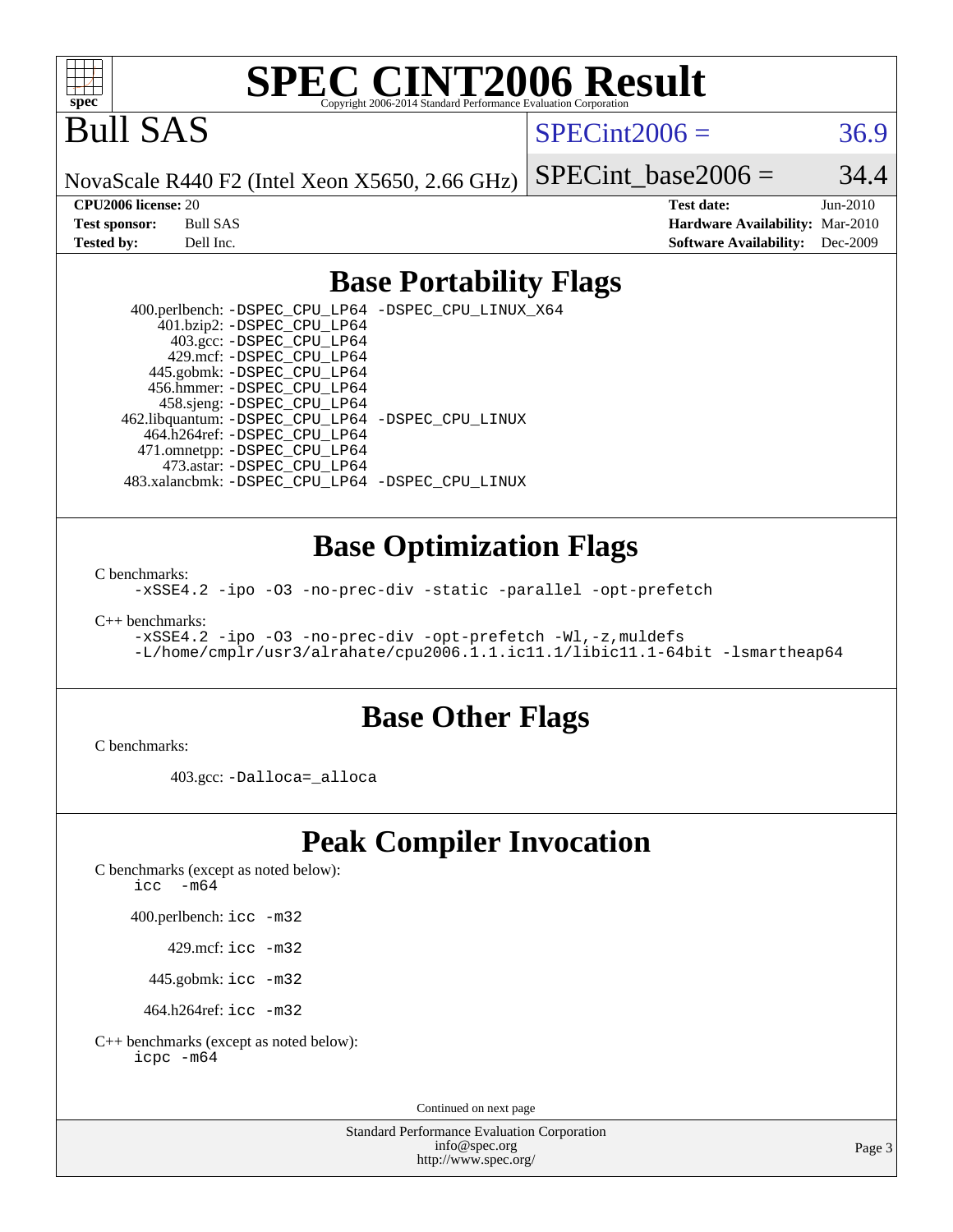

# **[SPEC CINT2006 Result](http://www.spec.org/auto/cpu2006/Docs/result-fields.html#SPECCINT2006Result)**

Bull SAS

 $SPECint2006 = 36.9$  $SPECint2006 = 36.9$ 

NovaScale R440 F2 (Intel Xeon X5650, 2.66 GHz)

SPECint base2006 =  $34.4$ 

**[CPU2006 license:](http://www.spec.org/auto/cpu2006/Docs/result-fields.html#CPU2006license)** 20 **[Test date:](http://www.spec.org/auto/cpu2006/Docs/result-fields.html#Testdate)** Jun-2010 **[Test sponsor:](http://www.spec.org/auto/cpu2006/Docs/result-fields.html#Testsponsor)** Bull SAS **[Hardware Availability:](http://www.spec.org/auto/cpu2006/Docs/result-fields.html#HardwareAvailability)** Mar-2010 **[Tested by:](http://www.spec.org/auto/cpu2006/Docs/result-fields.html#Testedby)** Dell Inc. **[Software Availability:](http://www.spec.org/auto/cpu2006/Docs/result-fields.html#SoftwareAvailability)** Dec-2009

### **[Base Portability Flags](http://www.spec.org/auto/cpu2006/Docs/result-fields.html#BasePortabilityFlags)**

 400.perlbench: [-DSPEC\\_CPU\\_LP64](http://www.spec.org/cpu2006/results/res2010q3/cpu2006-20100706-12234.flags.html#b400.perlbench_basePORTABILITY_DSPEC_CPU_LP64) [-DSPEC\\_CPU\\_LINUX\\_X64](http://www.spec.org/cpu2006/results/res2010q3/cpu2006-20100706-12234.flags.html#b400.perlbench_baseCPORTABILITY_DSPEC_CPU_LINUX_X64) 401.bzip2: [-DSPEC\\_CPU\\_LP64](http://www.spec.org/cpu2006/results/res2010q3/cpu2006-20100706-12234.flags.html#suite_basePORTABILITY401_bzip2_DSPEC_CPU_LP64) 403.gcc: [-DSPEC\\_CPU\\_LP64](http://www.spec.org/cpu2006/results/res2010q3/cpu2006-20100706-12234.flags.html#suite_basePORTABILITY403_gcc_DSPEC_CPU_LP64) 429.mcf: [-DSPEC\\_CPU\\_LP64](http://www.spec.org/cpu2006/results/res2010q3/cpu2006-20100706-12234.flags.html#suite_basePORTABILITY429_mcf_DSPEC_CPU_LP64) 445.gobmk: [-DSPEC\\_CPU\\_LP64](http://www.spec.org/cpu2006/results/res2010q3/cpu2006-20100706-12234.flags.html#suite_basePORTABILITY445_gobmk_DSPEC_CPU_LP64) 456.hmmer: [-DSPEC\\_CPU\\_LP64](http://www.spec.org/cpu2006/results/res2010q3/cpu2006-20100706-12234.flags.html#suite_basePORTABILITY456_hmmer_DSPEC_CPU_LP64) 458.sjeng: [-DSPEC\\_CPU\\_LP64](http://www.spec.org/cpu2006/results/res2010q3/cpu2006-20100706-12234.flags.html#suite_basePORTABILITY458_sjeng_DSPEC_CPU_LP64) 462.libquantum: [-DSPEC\\_CPU\\_LP64](http://www.spec.org/cpu2006/results/res2010q3/cpu2006-20100706-12234.flags.html#suite_basePORTABILITY462_libquantum_DSPEC_CPU_LP64) [-DSPEC\\_CPU\\_LINUX](http://www.spec.org/cpu2006/results/res2010q3/cpu2006-20100706-12234.flags.html#b462.libquantum_baseCPORTABILITY_DSPEC_CPU_LINUX) 464.h264ref: [-DSPEC\\_CPU\\_LP64](http://www.spec.org/cpu2006/results/res2010q3/cpu2006-20100706-12234.flags.html#suite_basePORTABILITY464_h264ref_DSPEC_CPU_LP64) 471.omnetpp: [-DSPEC\\_CPU\\_LP64](http://www.spec.org/cpu2006/results/res2010q3/cpu2006-20100706-12234.flags.html#suite_basePORTABILITY471_omnetpp_DSPEC_CPU_LP64) 473.astar: [-DSPEC\\_CPU\\_LP64](http://www.spec.org/cpu2006/results/res2010q3/cpu2006-20100706-12234.flags.html#suite_basePORTABILITY473_astar_DSPEC_CPU_LP64) 483.xalancbmk: [-DSPEC\\_CPU\\_LP64](http://www.spec.org/cpu2006/results/res2010q3/cpu2006-20100706-12234.flags.html#suite_basePORTABILITY483_xalancbmk_DSPEC_CPU_LP64) [-DSPEC\\_CPU\\_LINUX](http://www.spec.org/cpu2006/results/res2010q3/cpu2006-20100706-12234.flags.html#b483.xalancbmk_baseCXXPORTABILITY_DSPEC_CPU_LINUX)

### **[Base Optimization Flags](http://www.spec.org/auto/cpu2006/Docs/result-fields.html#BaseOptimizationFlags)**

[C benchmarks](http://www.spec.org/auto/cpu2006/Docs/result-fields.html#Cbenchmarks):

[-xSSE4.2](http://www.spec.org/cpu2006/results/res2010q3/cpu2006-20100706-12234.flags.html#user_CCbase_f-xSSE42_f91528193cf0b216347adb8b939d4107) [-ipo](http://www.spec.org/cpu2006/results/res2010q3/cpu2006-20100706-12234.flags.html#user_CCbase_f-ipo) [-O3](http://www.spec.org/cpu2006/results/res2010q3/cpu2006-20100706-12234.flags.html#user_CCbase_f-O3) [-no-prec-div](http://www.spec.org/cpu2006/results/res2010q3/cpu2006-20100706-12234.flags.html#user_CCbase_f-no-prec-div) [-static](http://www.spec.org/cpu2006/results/res2010q3/cpu2006-20100706-12234.flags.html#user_CCbase_f-static) [-parallel](http://www.spec.org/cpu2006/results/res2010q3/cpu2006-20100706-12234.flags.html#user_CCbase_f-parallel) [-opt-prefetch](http://www.spec.org/cpu2006/results/res2010q3/cpu2006-20100706-12234.flags.html#user_CCbase_f-opt-prefetch)

[C++ benchmarks:](http://www.spec.org/auto/cpu2006/Docs/result-fields.html#CXXbenchmarks)

[-xSSE4.2](http://www.spec.org/cpu2006/results/res2010q3/cpu2006-20100706-12234.flags.html#user_CXXbase_f-xSSE42_f91528193cf0b216347adb8b939d4107) [-ipo](http://www.spec.org/cpu2006/results/res2010q3/cpu2006-20100706-12234.flags.html#user_CXXbase_f-ipo) [-O3](http://www.spec.org/cpu2006/results/res2010q3/cpu2006-20100706-12234.flags.html#user_CXXbase_f-O3) [-no-prec-div](http://www.spec.org/cpu2006/results/res2010q3/cpu2006-20100706-12234.flags.html#user_CXXbase_f-no-prec-div) [-opt-prefetch](http://www.spec.org/cpu2006/results/res2010q3/cpu2006-20100706-12234.flags.html#user_CXXbase_f-opt-prefetch) [-Wl,-z,muldefs](http://www.spec.org/cpu2006/results/res2010q3/cpu2006-20100706-12234.flags.html#user_CXXbase_link_force_multiple1_74079c344b956b9658436fd1b6dd3a8a) [-L/home/cmplr/usr3/alrahate/cpu2006.1.1.ic11.1/libic11.1-64bit -lsmartheap64](http://www.spec.org/cpu2006/results/res2010q3/cpu2006-20100706-12234.flags.html#user_CXXbase_SmartHeap64_e2306cda84805d1ab360117a79ff779c)

### **[Base Other Flags](http://www.spec.org/auto/cpu2006/Docs/result-fields.html#BaseOtherFlags)**

[C benchmarks](http://www.spec.org/auto/cpu2006/Docs/result-fields.html#Cbenchmarks):

403.gcc: [-Dalloca=\\_alloca](http://www.spec.org/cpu2006/results/res2010q3/cpu2006-20100706-12234.flags.html#b403.gcc_baseEXTRA_CFLAGS_Dalloca_be3056838c12de2578596ca5467af7f3)

## **[Peak Compiler Invocation](http://www.spec.org/auto/cpu2006/Docs/result-fields.html#PeakCompilerInvocation)**

[C benchmarks \(except as noted below\)](http://www.spec.org/auto/cpu2006/Docs/result-fields.html#Cbenchmarksexceptasnotedbelow):

icc  $-m64$ 

400.perlbench: [icc -m32](http://www.spec.org/cpu2006/results/res2010q3/cpu2006-20100706-12234.flags.html#user_peakCCLD400_perlbench_intel_icc_32bit_a6a621f8d50482236b970c6ac5f55f93)

429.mcf: [icc -m32](http://www.spec.org/cpu2006/results/res2010q3/cpu2006-20100706-12234.flags.html#user_peakCCLD429_mcf_intel_icc_32bit_a6a621f8d50482236b970c6ac5f55f93)

445.gobmk: [icc -m32](http://www.spec.org/cpu2006/results/res2010q3/cpu2006-20100706-12234.flags.html#user_peakCCLD445_gobmk_intel_icc_32bit_a6a621f8d50482236b970c6ac5f55f93)

464.h264ref: [icc -m32](http://www.spec.org/cpu2006/results/res2010q3/cpu2006-20100706-12234.flags.html#user_peakCCLD464_h264ref_intel_icc_32bit_a6a621f8d50482236b970c6ac5f55f93)

[C++ benchmarks \(except as noted below\):](http://www.spec.org/auto/cpu2006/Docs/result-fields.html#CXXbenchmarksexceptasnotedbelow) [icpc -m64](http://www.spec.org/cpu2006/results/res2010q3/cpu2006-20100706-12234.flags.html#user_CXXpeak_intel_icpc_64bit_fc66a5337ce925472a5c54ad6a0de310)

Continued on next page

Standard Performance Evaluation Corporation [info@spec.org](mailto:info@spec.org) <http://www.spec.org/>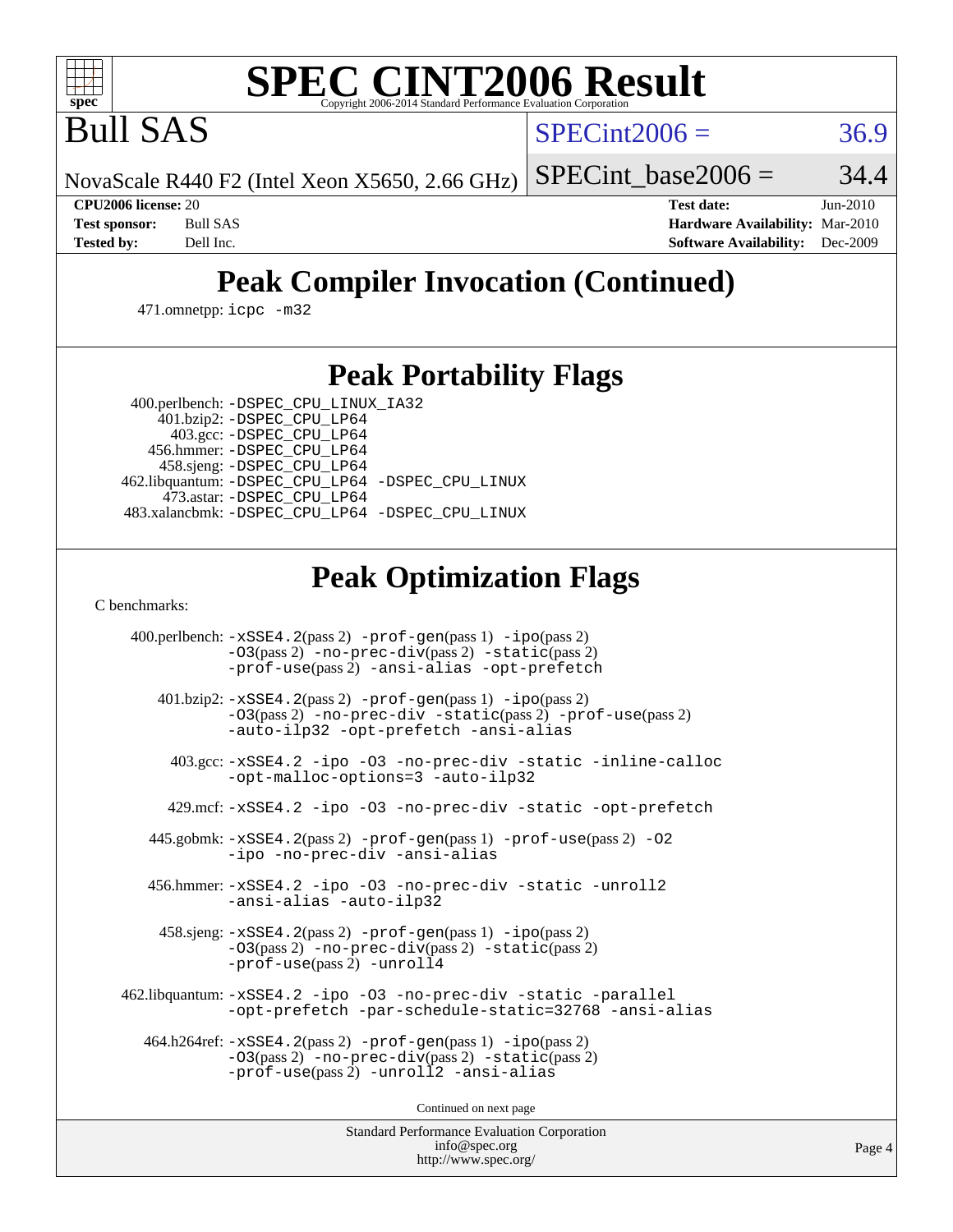

# **[SPEC CINT2006 Result](http://www.spec.org/auto/cpu2006/Docs/result-fields.html#SPECCINT2006Result)**

Bull SAS

 $SPECint2006 = 36.9$  $SPECint2006 = 36.9$ 

NovaScale R440 F2 (Intel Xeon X5650, 2.66 GHz)

SPECint base2006 =  $34.4$ 

**[CPU2006 license:](http://www.spec.org/auto/cpu2006/Docs/result-fields.html#CPU2006license)** 20 **[Test date:](http://www.spec.org/auto/cpu2006/Docs/result-fields.html#Testdate)** Jun-2010 **[Test sponsor:](http://www.spec.org/auto/cpu2006/Docs/result-fields.html#Testsponsor)** Bull SAS **[Hardware Availability:](http://www.spec.org/auto/cpu2006/Docs/result-fields.html#HardwareAvailability)** Mar-2010 **[Tested by:](http://www.spec.org/auto/cpu2006/Docs/result-fields.html#Testedby)** Dell Inc. **[Software Availability:](http://www.spec.org/auto/cpu2006/Docs/result-fields.html#SoftwareAvailability)** Dec-2009

# **[Peak Compiler Invocation \(Continued\)](http://www.spec.org/auto/cpu2006/Docs/result-fields.html#PeakCompilerInvocation)**

471.omnetpp: [icpc -m32](http://www.spec.org/cpu2006/results/res2010q3/cpu2006-20100706-12234.flags.html#user_peakCXXLD471_omnetpp_intel_icpc_32bit_4e5a5ef1a53fd332b3c49e69c3330699)

### **[Peak Portability Flags](http://www.spec.org/auto/cpu2006/Docs/result-fields.html#PeakPortabilityFlags)**

400.perlbench: [-DSPEC\\_CPU\\_LINUX\\_IA32](http://www.spec.org/cpu2006/results/res2010q3/cpu2006-20100706-12234.flags.html#b400.perlbench_peakCPORTABILITY_DSPEC_CPU_LINUX_IA32)

 401.bzip2: [-DSPEC\\_CPU\\_LP64](http://www.spec.org/cpu2006/results/res2010q3/cpu2006-20100706-12234.flags.html#suite_peakPORTABILITY401_bzip2_DSPEC_CPU_LP64) 403.gcc: [-DSPEC\\_CPU\\_LP64](http://www.spec.org/cpu2006/results/res2010q3/cpu2006-20100706-12234.flags.html#suite_peakPORTABILITY403_gcc_DSPEC_CPU_LP64) 456.hmmer: [-DSPEC\\_CPU\\_LP64](http://www.spec.org/cpu2006/results/res2010q3/cpu2006-20100706-12234.flags.html#suite_peakPORTABILITY456_hmmer_DSPEC_CPU_LP64) 458.sjeng: [-DSPEC\\_CPU\\_LP64](http://www.spec.org/cpu2006/results/res2010q3/cpu2006-20100706-12234.flags.html#suite_peakPORTABILITY458_sjeng_DSPEC_CPU_LP64) 462.libquantum: [-DSPEC\\_CPU\\_LP64](http://www.spec.org/cpu2006/results/res2010q3/cpu2006-20100706-12234.flags.html#suite_peakPORTABILITY462_libquantum_DSPEC_CPU_LP64) [-DSPEC\\_CPU\\_LINUX](http://www.spec.org/cpu2006/results/res2010q3/cpu2006-20100706-12234.flags.html#b462.libquantum_peakCPORTABILITY_DSPEC_CPU_LINUX) 473.astar: [-DSPEC\\_CPU\\_LP64](http://www.spec.org/cpu2006/results/res2010q3/cpu2006-20100706-12234.flags.html#suite_peakPORTABILITY473_astar_DSPEC_CPU_LP64) 483.xalancbmk: [-DSPEC\\_CPU\\_LP64](http://www.spec.org/cpu2006/results/res2010q3/cpu2006-20100706-12234.flags.html#suite_peakPORTABILITY483_xalancbmk_DSPEC_CPU_LP64) [-DSPEC\\_CPU\\_LINUX](http://www.spec.org/cpu2006/results/res2010q3/cpu2006-20100706-12234.flags.html#b483.xalancbmk_peakCXXPORTABILITY_DSPEC_CPU_LINUX)

## **[Peak Optimization Flags](http://www.spec.org/auto/cpu2006/Docs/result-fields.html#PeakOptimizationFlags)**

[C benchmarks](http://www.spec.org/auto/cpu2006/Docs/result-fields.html#Cbenchmarks):

 400.perlbench: [-xSSE4.2](http://www.spec.org/cpu2006/results/res2010q3/cpu2006-20100706-12234.flags.html#user_peakPASS2_CFLAGSPASS2_LDCFLAGS400_perlbench_f-xSSE42_f91528193cf0b216347adb8b939d4107)(pass 2) [-prof-gen](http://www.spec.org/cpu2006/results/res2010q3/cpu2006-20100706-12234.flags.html#user_peakPASS1_CFLAGSPASS1_LDCFLAGS400_perlbench_prof_gen_e43856698f6ca7b7e442dfd80e94a8fc)(pass 1) [-ipo](http://www.spec.org/cpu2006/results/res2010q3/cpu2006-20100706-12234.flags.html#user_peakPASS2_CFLAGSPASS2_LDCFLAGS400_perlbench_f-ipo)(pass 2) [-O3](http://www.spec.org/cpu2006/results/res2010q3/cpu2006-20100706-12234.flags.html#user_peakPASS2_CFLAGSPASS2_LDCFLAGS400_perlbench_f-O3)(pass 2) [-no-prec-div](http://www.spec.org/cpu2006/results/res2010q3/cpu2006-20100706-12234.flags.html#user_peakPASS2_CFLAGSPASS2_LDCFLAGS400_perlbench_f-no-prec-div)(pass 2) [-static](http://www.spec.org/cpu2006/results/res2010q3/cpu2006-20100706-12234.flags.html#user_peakPASS2_CFLAGSPASS2_LDCFLAGS400_perlbench_f-static)(pass 2) [-prof-use](http://www.spec.org/cpu2006/results/res2010q3/cpu2006-20100706-12234.flags.html#user_peakPASS2_CFLAGSPASS2_LDCFLAGS400_perlbench_prof_use_bccf7792157ff70d64e32fe3e1250b55)(pass 2) [-ansi-alias](http://www.spec.org/cpu2006/results/res2010q3/cpu2006-20100706-12234.flags.html#user_peakCOPTIMIZE400_perlbench_f-ansi-alias) [-opt-prefetch](http://www.spec.org/cpu2006/results/res2010q3/cpu2006-20100706-12234.flags.html#user_peakCOPTIMIZE400_perlbench_f-opt-prefetch) 401.bzip2: [-xSSE4.2](http://www.spec.org/cpu2006/results/res2010q3/cpu2006-20100706-12234.flags.html#user_peakPASS2_CFLAGSPASS2_LDCFLAGS401_bzip2_f-xSSE42_f91528193cf0b216347adb8b939d4107)(pass 2) [-prof-gen](http://www.spec.org/cpu2006/results/res2010q3/cpu2006-20100706-12234.flags.html#user_peakPASS1_CFLAGSPASS1_LDCFLAGS401_bzip2_prof_gen_e43856698f6ca7b7e442dfd80e94a8fc)(pass 1) [-ipo](http://www.spec.org/cpu2006/results/res2010q3/cpu2006-20100706-12234.flags.html#user_peakPASS2_CFLAGSPASS2_LDCFLAGS401_bzip2_f-ipo)(pass 2) [-O3](http://www.spec.org/cpu2006/results/res2010q3/cpu2006-20100706-12234.flags.html#user_peakPASS2_CFLAGSPASS2_LDCFLAGS401_bzip2_f-O3)(pass 2) [-no-prec-div](http://www.spec.org/cpu2006/results/res2010q3/cpu2006-20100706-12234.flags.html#user_peakCOPTIMIZEPASS2_CFLAGSPASS2_LDCFLAGS401_bzip2_f-no-prec-div) [-static](http://www.spec.org/cpu2006/results/res2010q3/cpu2006-20100706-12234.flags.html#user_peakPASS2_CFLAGSPASS2_LDCFLAGS401_bzip2_f-static)(pass 2) [-prof-use](http://www.spec.org/cpu2006/results/res2010q3/cpu2006-20100706-12234.flags.html#user_peakPASS2_CFLAGSPASS2_LDCFLAGS401_bzip2_prof_use_bccf7792157ff70d64e32fe3e1250b55)(pass 2) [-auto-ilp32](http://www.spec.org/cpu2006/results/res2010q3/cpu2006-20100706-12234.flags.html#user_peakCOPTIMIZE401_bzip2_f-auto-ilp32) [-opt-prefetch](http://www.spec.org/cpu2006/results/res2010q3/cpu2006-20100706-12234.flags.html#user_peakCOPTIMIZE401_bzip2_f-opt-prefetch) [-ansi-alias](http://www.spec.org/cpu2006/results/res2010q3/cpu2006-20100706-12234.flags.html#user_peakCOPTIMIZE401_bzip2_f-ansi-alias) 403.gcc: [-xSSE4.2](http://www.spec.org/cpu2006/results/res2010q3/cpu2006-20100706-12234.flags.html#user_peakCOPTIMIZE403_gcc_f-xSSE42_f91528193cf0b216347adb8b939d4107) [-ipo](http://www.spec.org/cpu2006/results/res2010q3/cpu2006-20100706-12234.flags.html#user_peakCOPTIMIZE403_gcc_f-ipo) [-O3](http://www.spec.org/cpu2006/results/res2010q3/cpu2006-20100706-12234.flags.html#user_peakCOPTIMIZE403_gcc_f-O3) [-no-prec-div](http://www.spec.org/cpu2006/results/res2010q3/cpu2006-20100706-12234.flags.html#user_peakCOPTIMIZE403_gcc_f-no-prec-div) [-static](http://www.spec.org/cpu2006/results/res2010q3/cpu2006-20100706-12234.flags.html#user_peakCOPTIMIZE403_gcc_f-static) [-inline-calloc](http://www.spec.org/cpu2006/results/res2010q3/cpu2006-20100706-12234.flags.html#user_peakCOPTIMIZE403_gcc_f-inline-calloc) [-opt-malloc-options=3](http://www.spec.org/cpu2006/results/res2010q3/cpu2006-20100706-12234.flags.html#user_peakCOPTIMIZE403_gcc_f-opt-malloc-options_13ab9b803cf986b4ee62f0a5998c2238) [-auto-ilp32](http://www.spec.org/cpu2006/results/res2010q3/cpu2006-20100706-12234.flags.html#user_peakCOPTIMIZE403_gcc_f-auto-ilp32) 429.mcf: [-xSSE4.2](http://www.spec.org/cpu2006/results/res2010q3/cpu2006-20100706-12234.flags.html#user_peakCOPTIMIZE429_mcf_f-xSSE42_f91528193cf0b216347adb8b939d4107) [-ipo](http://www.spec.org/cpu2006/results/res2010q3/cpu2006-20100706-12234.flags.html#user_peakCOPTIMIZE429_mcf_f-ipo) [-O3](http://www.spec.org/cpu2006/results/res2010q3/cpu2006-20100706-12234.flags.html#user_peakCOPTIMIZE429_mcf_f-O3) [-no-prec-div](http://www.spec.org/cpu2006/results/res2010q3/cpu2006-20100706-12234.flags.html#user_peakCOPTIMIZE429_mcf_f-no-prec-div) [-static](http://www.spec.org/cpu2006/results/res2010q3/cpu2006-20100706-12234.flags.html#user_peakCOPTIMIZE429_mcf_f-static) [-opt-prefetch](http://www.spec.org/cpu2006/results/res2010q3/cpu2006-20100706-12234.flags.html#user_peakCOPTIMIZE429_mcf_f-opt-prefetch) 445.gobmk: [-xSSE4.2](http://www.spec.org/cpu2006/results/res2010q3/cpu2006-20100706-12234.flags.html#user_peakPASS2_CFLAGSPASS2_LDCFLAGS445_gobmk_f-xSSE42_f91528193cf0b216347adb8b939d4107)(pass 2) [-prof-gen](http://www.spec.org/cpu2006/results/res2010q3/cpu2006-20100706-12234.flags.html#user_peakPASS1_CFLAGSPASS1_LDCFLAGS445_gobmk_prof_gen_e43856698f6ca7b7e442dfd80e94a8fc)(pass 1) [-prof-use](http://www.spec.org/cpu2006/results/res2010q3/cpu2006-20100706-12234.flags.html#user_peakPASS2_CFLAGSPASS2_LDCFLAGS445_gobmk_prof_use_bccf7792157ff70d64e32fe3e1250b55)(pass 2) [-O2](http://www.spec.org/cpu2006/results/res2010q3/cpu2006-20100706-12234.flags.html#user_peakCOPTIMIZE445_gobmk_f-O2) [-ipo](http://www.spec.org/cpu2006/results/res2010q3/cpu2006-20100706-12234.flags.html#user_peakCOPTIMIZE445_gobmk_f-ipo) [-no-prec-div](http://www.spec.org/cpu2006/results/res2010q3/cpu2006-20100706-12234.flags.html#user_peakCOPTIMIZE445_gobmk_f-no-prec-div) [-ansi-alias](http://www.spec.org/cpu2006/results/res2010q3/cpu2006-20100706-12234.flags.html#user_peakCOPTIMIZE445_gobmk_f-ansi-alias) 456.hmmer: [-xSSE4.2](http://www.spec.org/cpu2006/results/res2010q3/cpu2006-20100706-12234.flags.html#user_peakCOPTIMIZE456_hmmer_f-xSSE42_f91528193cf0b216347adb8b939d4107) [-ipo](http://www.spec.org/cpu2006/results/res2010q3/cpu2006-20100706-12234.flags.html#user_peakCOPTIMIZE456_hmmer_f-ipo) [-O3](http://www.spec.org/cpu2006/results/res2010q3/cpu2006-20100706-12234.flags.html#user_peakCOPTIMIZE456_hmmer_f-O3) [-no-prec-div](http://www.spec.org/cpu2006/results/res2010q3/cpu2006-20100706-12234.flags.html#user_peakCOPTIMIZE456_hmmer_f-no-prec-div) [-static](http://www.spec.org/cpu2006/results/res2010q3/cpu2006-20100706-12234.flags.html#user_peakCOPTIMIZE456_hmmer_f-static) [-unroll2](http://www.spec.org/cpu2006/results/res2010q3/cpu2006-20100706-12234.flags.html#user_peakCOPTIMIZE456_hmmer_f-unroll_784dae83bebfb236979b41d2422d7ec2) [-ansi-alias](http://www.spec.org/cpu2006/results/res2010q3/cpu2006-20100706-12234.flags.html#user_peakCOPTIMIZE456_hmmer_f-ansi-alias) [-auto-ilp32](http://www.spec.org/cpu2006/results/res2010q3/cpu2006-20100706-12234.flags.html#user_peakCOPTIMIZE456_hmmer_f-auto-ilp32) 458.sjeng: [-xSSE4.2](http://www.spec.org/cpu2006/results/res2010q3/cpu2006-20100706-12234.flags.html#user_peakPASS2_CFLAGSPASS2_LDCFLAGS458_sjeng_f-xSSE42_f91528193cf0b216347adb8b939d4107)(pass 2) [-prof-gen](http://www.spec.org/cpu2006/results/res2010q3/cpu2006-20100706-12234.flags.html#user_peakPASS1_CFLAGSPASS1_LDCFLAGS458_sjeng_prof_gen_e43856698f6ca7b7e442dfd80e94a8fc)(pass 1) [-ipo](http://www.spec.org/cpu2006/results/res2010q3/cpu2006-20100706-12234.flags.html#user_peakPASS2_CFLAGSPASS2_LDCFLAGS458_sjeng_f-ipo)(pass 2) [-O3](http://www.spec.org/cpu2006/results/res2010q3/cpu2006-20100706-12234.flags.html#user_peakPASS2_CFLAGSPASS2_LDCFLAGS458_sjeng_f-O3)(pass 2) [-no-prec-div](http://www.spec.org/cpu2006/results/res2010q3/cpu2006-20100706-12234.flags.html#user_peakPASS2_CFLAGSPASS2_LDCFLAGS458_sjeng_f-no-prec-div)(pass 2) [-static](http://www.spec.org/cpu2006/results/res2010q3/cpu2006-20100706-12234.flags.html#user_peakPASS2_CFLAGSPASS2_LDCFLAGS458_sjeng_f-static)(pass 2) [-prof-use](http://www.spec.org/cpu2006/results/res2010q3/cpu2006-20100706-12234.flags.html#user_peakPASS2_CFLAGSPASS2_LDCFLAGS458_sjeng_prof_use_bccf7792157ff70d64e32fe3e1250b55)(pass 2) [-unroll4](http://www.spec.org/cpu2006/results/res2010q3/cpu2006-20100706-12234.flags.html#user_peakCOPTIMIZE458_sjeng_f-unroll_4e5e4ed65b7fd20bdcd365bec371b81f) 462.libquantum: [-xSSE4.2](http://www.spec.org/cpu2006/results/res2010q3/cpu2006-20100706-12234.flags.html#user_peakCOPTIMIZE462_libquantum_f-xSSE42_f91528193cf0b216347adb8b939d4107) [-ipo](http://www.spec.org/cpu2006/results/res2010q3/cpu2006-20100706-12234.flags.html#user_peakCOPTIMIZE462_libquantum_f-ipo) [-O3](http://www.spec.org/cpu2006/results/res2010q3/cpu2006-20100706-12234.flags.html#user_peakCOPTIMIZE462_libquantum_f-O3) [-no-prec-div](http://www.spec.org/cpu2006/results/res2010q3/cpu2006-20100706-12234.flags.html#user_peakCOPTIMIZE462_libquantum_f-no-prec-div) [-static](http://www.spec.org/cpu2006/results/res2010q3/cpu2006-20100706-12234.flags.html#user_peakCOPTIMIZE462_libquantum_f-static) [-parallel](http://www.spec.org/cpu2006/results/res2010q3/cpu2006-20100706-12234.flags.html#user_peakCOPTIMIZE462_libquantum_f-parallel) [-opt-prefetch](http://www.spec.org/cpu2006/results/res2010q3/cpu2006-20100706-12234.flags.html#user_peakCOPTIMIZE462_libquantum_f-opt-prefetch) [-par-schedule-static=32768](http://www.spec.org/cpu2006/results/res2010q3/cpu2006-20100706-12234.flags.html#user_peakCOPTIMIZE462_libquantum_f-par-schedule_9386bcd99ba64e99ee01d1aafefddd14) [-ansi-alias](http://www.spec.org/cpu2006/results/res2010q3/cpu2006-20100706-12234.flags.html#user_peakCOPTIMIZE462_libquantum_f-ansi-alias) 464.h264ref: [-xSSE4.2](http://www.spec.org/cpu2006/results/res2010q3/cpu2006-20100706-12234.flags.html#user_peakPASS2_CFLAGSPASS2_LDCFLAGS464_h264ref_f-xSSE42_f91528193cf0b216347adb8b939d4107)(pass 2) [-prof-gen](http://www.spec.org/cpu2006/results/res2010q3/cpu2006-20100706-12234.flags.html#user_peakPASS1_CFLAGSPASS1_LDCFLAGS464_h264ref_prof_gen_e43856698f6ca7b7e442dfd80e94a8fc)(pass 1) [-ipo](http://www.spec.org/cpu2006/results/res2010q3/cpu2006-20100706-12234.flags.html#user_peakPASS2_CFLAGSPASS2_LDCFLAGS464_h264ref_f-ipo)(pass 2) [-O3](http://www.spec.org/cpu2006/results/res2010q3/cpu2006-20100706-12234.flags.html#user_peakPASS2_CFLAGSPASS2_LDCFLAGS464_h264ref_f-O3)(pass 2) [-no-prec-div](http://www.spec.org/cpu2006/results/res2010q3/cpu2006-20100706-12234.flags.html#user_peakPASS2_CFLAGSPASS2_LDCFLAGS464_h264ref_f-no-prec-div)(pass 2) [-static](http://www.spec.org/cpu2006/results/res2010q3/cpu2006-20100706-12234.flags.html#user_peakPASS2_CFLAGSPASS2_LDCFLAGS464_h264ref_f-static)(pass 2) [-prof-use](http://www.spec.org/cpu2006/results/res2010q3/cpu2006-20100706-12234.flags.html#user_peakPASS2_CFLAGSPASS2_LDCFLAGS464_h264ref_prof_use_bccf7792157ff70d64e32fe3e1250b55)(pass 2) [-unroll2](http://www.spec.org/cpu2006/results/res2010q3/cpu2006-20100706-12234.flags.html#user_peakCOPTIMIZE464_h264ref_f-unroll_784dae83bebfb236979b41d2422d7ec2) [-ansi-alias](http://www.spec.org/cpu2006/results/res2010q3/cpu2006-20100706-12234.flags.html#user_peakCOPTIMIZE464_h264ref_f-ansi-alias)

Continued on next page

Standard Performance Evaluation Corporation [info@spec.org](mailto:info@spec.org) <http://www.spec.org/>